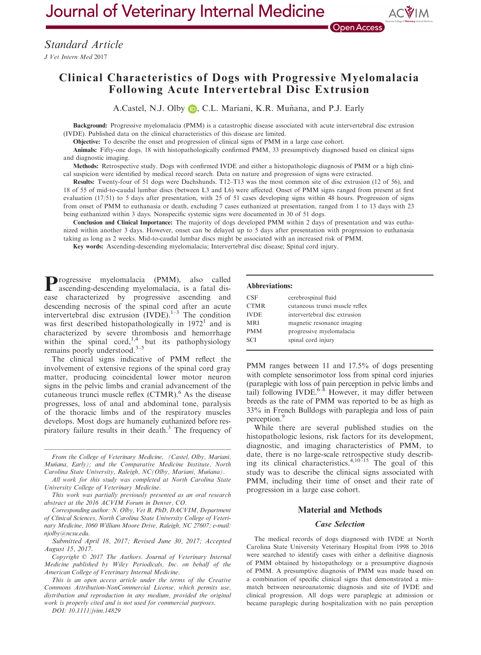# Clinical Characteristics of Dogs with Progressive Myelomalacia Following Acute Intervertebral Disc Extrusion

A.Castel, N.J. Olb[y](http://orcid.org/0000-0003-1349-3484) **D.**, C.L. Mariani, K.R. Muñana, and P.J. Early

Background: Progressive myelomalacia (PMM) is a catastrophic disease associated with acute intervertebral disc extrusion (IVDE). Published data on the clinical characteristics of this disease are limited.

Objective: To describe the onset and progression of clinical signs of PMM in a large case cohort.

Animals: Fifty-one dogs, 18 with histopathologically confirmed PMM, 33 presumptively diagnosed based on clinical signs and diagnostic imaging.

Methods: Retrospective study. Dogs with confirmed IVDE and either a histopathologic diagnosis of PMM or a high clinical suspicion were identified by medical record search. Data on nature and progression of signs were extracted.

Results: Twenty-four of 51 dogs were Dachshunds. T12–T13 was the most common site of disc extrusion (12 of 56), and 18 of 55 of mid-to-caudal lumbar discs (between L3 and L6) were affected. Onset of PMM signs ranged from present at first evaluation (17/51) to 5 days after presentation, with 25 of 51 cases developing signs within 48 hours. Progression of signs from onset of PMM to euthanasia or death, excluding 7 cases euthanized at presentation, ranged from 1 to 13 days with 23 being euthanized within 3 days. Nonspecific systemic signs were documented in 30 of 51 dogs.

Conclusion and Clinical Importance: The majority of dogs developed PMM within 2 days of presentation and was euthanized within another 3 days. However, onset can be delayed up to 5 days after presentation with progression to euthanasia taking as long as 2 weeks. Mid-to-caudal lumbar discs might be associated with an increased risk of PMM.

Key words: Ascending-descending myelomalacia; Intervertebral disc disease; Spinal cord injury.

Progressive myelomalacia (PMM), also called ascending-descending myelomalacia, is a fatal disease characterized by progressive ascending and descending necrosis of the spinal cord after an acute intervertebral disc extrusion  $(IVDE)^{1-3}$  The condition was first described histopathologically in  $1972<sup>1</sup>$  and is characterized by severe thrombosis and hemorrhage within the spinal cord,<sup>1,4</sup> but its pathophysiology remains poorly understood.3–<sup>5</sup>

The clinical signs indicative of PMM reflect the involvement of extensive regions of the spinal cord gray matter, producing coincidental lower motor neuron signs in the pelvic limbs and cranial advancement of the cutaneous trunci muscle reflex  $(CTMR)$ .<sup>6</sup> As the disease progresses, loss of anal and abdominal tone, paralysis of the thoracic limbs and of the respiratory muscles develops. Most dogs are humanely euthanized before respiratory failure results in their death. $3$  The frequency of

From the College of Veterinary Medicine, (Castel, Olby, Mariani, Muñana, Early); and the Comparative Medicine Institute, North Carolina State University, Raleigh, NC(Olby, Mariani, Muñana).

All work for this study was completed at North Carolina State University College of Veterinary Medicine.

This work was partially previously presented as an oral research abstract at the 2016 ACVIM Forum in Denver, CO.

Corresponding author: N. Olby, Vet B, PhD, DACVIM, Department of Clinical Sciences, North Carolina State University College of Veterinary Medicine, 1060 William Moore Drive, Raleigh, NC 27607; e-mail: njolby@ncsu.edu.

Submitted April 18, 2017; Revised June 30, 2017; Accepted August 15, 2017.

Copyright © 2017 The Authors. Journal of Veterinary Internal Medicine published by Wiley Periodicals, Inc. on behalf of the American College of Veterinary Internal Medicine.

This is an open access article under the terms of the [Creative](http://creativecommons.org/licenses/by-nc/4.0/) [Commons Attribution-NonCommercial](http://creativecommons.org/licenses/by-nc/4.0/) License, which permits use, distribution and reproduction in any medium, provided the original work is properly cited and is not used for commercial purposes.

DOI: 10.1111/jvim.14829

#### Abbreviations:

| CSE         | cerebrospinal fluid            |
|-------------|--------------------------------|
| <b>CTMR</b> | cutaneous trunci muscle reflex |
| <b>IVDE</b> | intervertebral disc extrusion  |
| <b>MRI</b>  | magnetic resonance imaging     |
| <b>PMM</b>  | progressive myelomalacia       |
| SCI.        | spinal cord injury             |
|             |                                |

PMM ranges between 11 and 17.5% of dogs presenting with complete sensorimotor loss from spinal cord injuries (paraplegic with loss of pain perception in pelvic limbs and tail) following IVDE.<sup>6–8</sup> However, it may differ between breeds as the rate of PMM was reported to be as high as 33% in French Bulldogs with paraplegia and loss of pain perception.<sup>9</sup>

While there are several published studies on the histopathologic lesions, risk factors for its development, diagnostic, and imaging characteristics of PMM, to date, there is no large-scale retrospective study describing its clinical characteristics.<sup>4,10–15</sup> The goal of this study was to describe the clinical signs associated with PMM, including their time of onset and their rate of progression in a large case cohort.

## Material and Methods

### Case Selection

The medical records of dogs diagnosed with IVDE at North Carolina State University Veterinary Hospital from 1998 to 2016 were searched to identify cases with either a definitive diagnosis of PMM obtained by histopathology or a presumptive diagnosis of PMM. A presumptive diagnosis of PMM was made based on a combination of specific clinical signs that demonstrated a mismatch between neuroanatomic diagnosis and site of IVDE and clinical progression. All dogs were paraplegic at admission or became paraplegic during hospitalization with no pain perception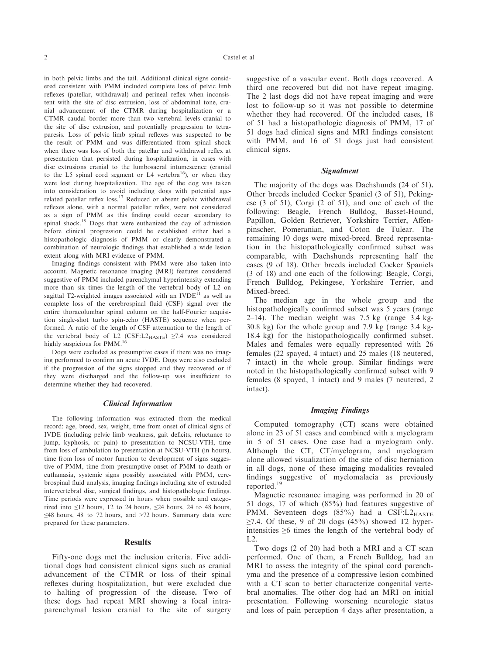in both pelvic limbs and the tail. Additional clinical signs considered consistent with PMM included complete loss of pelvic limb reflexes (patellar, withdrawal) and perineal reflex when inconsistent with the site of disc extrusion, loss of abdominal tone, cranial advancement of the CTMR during hospitalization or a CTMR caudal border more than two vertebral levels cranial to the site of disc extrusion, and potentially progression to tetraparesis. Loss of pelvic limb spinal reflexes was suspected to be the result of PMM and was differentiated from spinal shock when there was loss of both the patellar and withdrawal reflex at presentation that persisted during hospitalization, in cases with disc extrusions cranial to the lumbosacral intumescence (cranial to the L5 spinal cord segment or L4 vertebra<sup>16</sup>), or when they were lost during hospitalization. The age of the dog was taken into consideration to avoid including dogs with potential agerelated patellar reflex loss.<sup>17</sup> Reduced or absent pelvic withdrawal reflexes alone, with a normal patellar reflex, were not considered as a sign of PMM as this finding could occur secondary to spinal shock.18 Dogs that were euthanized the day of admission before clinical progression could be established either had a histopathologic diagnosis of PMM or clearly demonstrated a combination of neurologic findings that established a wide lesion extent along with MRI evidence of PMM.

Imaging findings consistent with PMM were also taken into account. Magnetic resonance imaging (MRI) features considered suggestive of PMM included parenchymal hyperintensity extending more than six times the length of the vertebral body of L2 on sagittal T2-weighted images associated with an IVDE<sup>11</sup> as well as complete loss of the cerebrospinal fluid (CSF) signal over the entire thoracolumbar spinal column on the half-Fourier acquisition single-shot turbo spin-echo (HASTE) sequence when performed. A ratio of the length of CSF attenuation to the length of the vertebral body of L2 (CSF:L2 $_{\text{HASTE}}$ ) ≥7.4 was considered highly suspicious for PMM.<sup>16</sup>

Dogs were excluded as presumptive cases if there was no imaging performed to confirm an acute IVDE. Dogs were also excluded if the progression of the signs stopped and they recovered or if they were discharged and the follow-up was insufficient to determine whether they had recovered.

### Clinical Information

The following information was extracted from the medical record: age, breed, sex, weight, time from onset of clinical signs of IVDE (including pelvic limb weakness, gait deficits, reluctance to jump, kyphosis, or pain) to presentation to NCSU-VTH, time from loss of ambulation to presentation at NCSU-VTH (in hours), time from loss of motor function to development of signs suggestive of PMM, time from presumptive onset of PMM to death or euthanasia, systemic signs possibly associated with PMM, cerebrospinal fluid analysis, imaging findings including site of extruded intervertebral disc, surgical findings, and histopathologic findings. Time periods were expressed in hours when possible and categorized into  $\leq 12$  hours, 12 to 24 hours,  $\leq 24$  hours, 24 to 48 hours, ≤48 hours, 48 to 72 hours, and >72 hours. Summary data were prepared for these parameters.

## Results

Fifty-one dogs met the inclusion criteria. Five additional dogs had consistent clinical signs such as cranial advancement of the CTMR or loss of their spinal reflexes during hospitalization, but were excluded due to halting of progression of the disease. Two of these dogs had repeat MRI showing a focal intraparenchymal lesion cranial to the site of surgery suggestive of a vascular event. Both dogs recovered. A third one recovered but did not have repeat imaging. The 2 last dogs did not have repeat imaging and were lost to follow-up so it was not possible to determine whether they had recovered. Of the included cases, 18 of 51 had a histopathologic diagnosis of PMM, 17 of 51 dogs had clinical signs and MRI findings consistent with PMM, and 16 of 51 dogs just had consistent clinical signs.

## Signalment

The majority of the dogs was Dachshunds (24 of 51). Other breeds included Cocker Spaniel (3 of 51), Pekingese (3 of 51), Corgi (2 of 51), and one of each of the following: Beagle, French Bulldog, Basset-Hound, Papillon, Golden Retriever, Yorkshire Terrier, Affenpinscher, Pomeranian, and Coton de Tulear. The remaining 10 dogs were mixed-breed. Breed representation in the histopathologically confirmed subset was comparable, with Dachshunds representing half the cases (9 of 18). Other breeds included Cocker Spaniels (3 of 18) and one each of the following: Beagle, Corgi, French Bulldog, Pekingese, Yorkshire Terrier, and Mixed-breed.

The median age in the whole group and the histopathologically confirmed subset was 5 years (range 2–14). The median weight was 7.5 kg (range 3.4 kg-30.8 kg) for the whole group and 7.9 kg (range 3.4 kg-18.4 kg) for the histopathologically confirmed subset. Males and females were equally represented with 26 females (22 spayed, 4 intact) and 25 males (18 neutered, 7 intact) in the whole group. Similar findings were noted in the histopathologically confirmed subset with 9 females (8 spayed, 1 intact) and 9 males (7 neutered, 2 intact).

#### Imaging Findings

Computed tomography (CT) scans were obtained alone in 23 of 51 cases and combined with a myelogram in 5 of 51 cases. One case had a myelogram only. Although the CT, CT/myelogram, and myelogram alone allowed visualization of the site of disc herniation in all dogs, none of these imaging modalities revealed findings suggestive of myelomalacia as previously reported.<sup>19</sup>

Magnetic resonance imaging was performed in 20 of 51 dogs, 17 of which (85%) had features suggestive of PMM. Seventeen dogs  $(85\%)$  had a CSF:L2 $_{\text{HASTE}}$  $\geq$ 7.4. Of these, 9 of 20 dogs (45%) showed T2 hyperintensities ≥6 times the length of the vertebral body of L2.

Two dogs (2 of 20) had both a MRI and a CT scan performed. One of them, a French Bulldog, had an MRI to assess the integrity of the spinal cord parenchyma and the presence of a compressive lesion combined with a CT scan to better characterize congenital vertebral anomalies. The other dog had an MRI on initial presentation. Following worsening neurologic status and loss of pain perception 4 days after presentation, a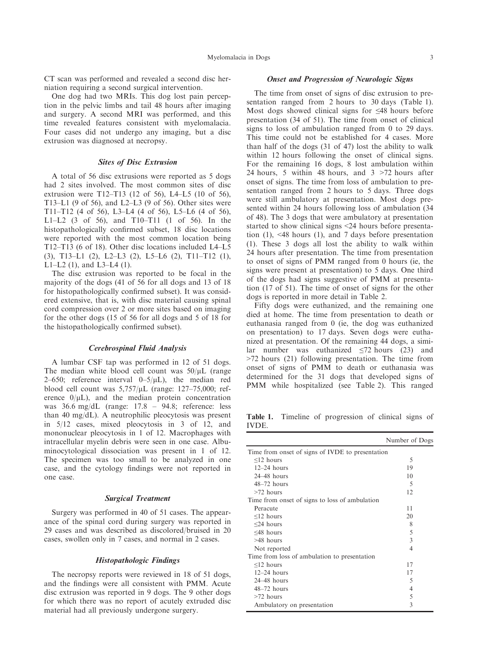CT scan was performed and revealed a second disc herniation requiring a second surgical intervention.

One dog had two MRIs. This dog lost pain perception in the pelvic limbs and tail 48 hours after imaging and surgery. A second MRI was performed, and this time revealed features consistent with myelomalacia. Four cases did not undergo any imaging, but a disc extrusion was diagnosed at necropsy.

## Sites of Disc Extrusion

A total of 56 disc extrusions were reported as 5 dogs had 2 sites involved. The most common sites of disc extrusion were T12–T13 (12 of 56), L4–L5 (10 of 56), T13–L1 (9 of 56), and L2–L3 (9 of 56). Other sites were T11–T12 (4 of 56), L3–L4 (4 of 56), L5–L6 (4 of 56), L1–L2 (3 of 56), and T10–T11 (1 of 56). In the histopathologically confirmed subset, 18 disc locations were reported with the most common location being T12–T13 (6 of 18). Other disc locations included L4–L5 (3), T13–L1 (2), L2–L3 (2), L5–L6 (2), T11–T12 (1), L1–L2 (1), and L3–L4 (1).

The disc extrusion was reported to be focal in the majority of the dogs (41 of 56 for all dogs and 13 of 18 for histopathologically confirmed subset). It was considered extensive, that is, with disc material causing spinal cord compression over 2 or more sites based on imaging for the other dogs (15 of 56 for all dogs and 5 of 18 for the histopathologically confirmed subset).

### Cerebrospinal Fluid Analysis

A lumbar CSF tap was performed in 12 of 51 dogs. The median white blood cell count was  $50/\mu$ L (range 2–650; reference interval  $0-5/\mu L$ ), the median red blood cell count was  $5,757/\mu$ L (range: 127–75,000; reference  $0/\mu L$ ), and the median protein concentration was 36.6 mg/dL (range: 17.8 – 94.8; reference: less than 40 mg/dL). A neutrophilic pleocytosis was present in 5/12 cases, mixed pleocytosis in 3 of 12, and mononuclear pleocytosis in 1 of 12. Macrophages with intracellular myelin debris were seen in one case. Albuminocytological dissociation was present in 1 of 12. The specimen was too small to be analyzed in one case, and the cytology findings were not reported in one case.

#### Surgical Treatment

Surgery was performed in 40 of 51 cases. The appearance of the spinal cord during surgery was reported in 29 cases and was described as discolored/bruised in 20 cases, swollen only in 7 cases, and normal in 2 cases.

## Histopathologic Findings

The necropsy reports were reviewed in 18 of 51 dogs, and the findings were all consistent with PMM. Acute disc extrusion was reported in 9 dogs. The 9 other dogs for which there was no report of acutely extruded disc material had all previously undergone surgery.

## Onset and Progression of Neurologic Signs

The time from onset of signs of disc extrusion to presentation ranged from 2 hours to 30 days (Table 1). Most dogs showed clinical signs for ≤48 hours before presentation (34 of 51). The time from onset of clinical signs to loss of ambulation ranged from 0 to 29 days. This time could not be established for 4 cases. More than half of the dogs (31 of 47) lost the ability to walk within 12 hours following the onset of clinical signs. For the remaining 16 dogs, 8 lost ambulation within 24 hours, 5 within 48 hours, and 3 >72 hours after onset of signs. The time from loss of ambulation to presentation ranged from 2 hours to 5 days. Three dogs were still ambulatory at presentation. Most dogs presented within 24 hours following loss of ambulation (34 of 48). The 3 dogs that were ambulatory at presentation started to show clinical signs <24 hours before presentation (1), <48 hours (1), and 7 days before presentation (1). These 3 dogs all lost the ability to walk within 24 hours after presentation. The time from presentation to onset of signs of PMM ranged from 0 hours (ie, the signs were present at presentation) to 5 days. One third of the dogs had signs suggestive of PMM at presentation (17 of 51). The time of onset of signs for the other dogs is reported in more detail in Table 2.

Fifty dogs were euthanized, and the remaining one died at home. The time from presentation to death or euthanasia ranged from 0 (ie, the dog was euthanized on presentation) to 17 days. Seven dogs were euthanized at presentation. Of the remaining 44 dogs, a similar number was euthanized  $\leq 72$  hours (23) and >72 hours (21) following presentation. The time from onset of signs of PMM to death or euthanasia was determined for the 31 dogs that developed signs of PMM while hospitalized (see Table 2). This ranged

Table 1. Timeline of progression of clinical signs of IVDE.

|                                                  | Number of Dogs           |
|--------------------------------------------------|--------------------------|
| Time from onset of signs of IVDE to presentation |                          |
| $\leq$ 12 hours                                  | 5                        |
| $12-24$ hours                                    | 19                       |
| $24-48$ hours                                    | 10                       |
| $48-72$ hours                                    | $\overline{\phantom{0}}$ |
| $>72$ hours                                      | 12                       |
| Time from onset of signs to loss of ambulation   |                          |
| Peracute                                         | 11                       |
| $\leq$ 12 hours                                  | 20                       |
| $\leq$ 24 hours                                  | 8                        |
| $\leq 48$ hours                                  | 5                        |
| $>48$ hours                                      | 3                        |
| Not reported                                     | 4                        |
| Time from loss of ambulation to presentation     |                          |
| $\leq$ 12 hours                                  | 17                       |
| $12-24$ hours                                    | 17                       |
| $24-48$ hours                                    | 5                        |
| $48-72$ hours                                    | 4                        |
| $>72$ hours                                      | 5                        |
| Ambulatory on presentation                       | 3                        |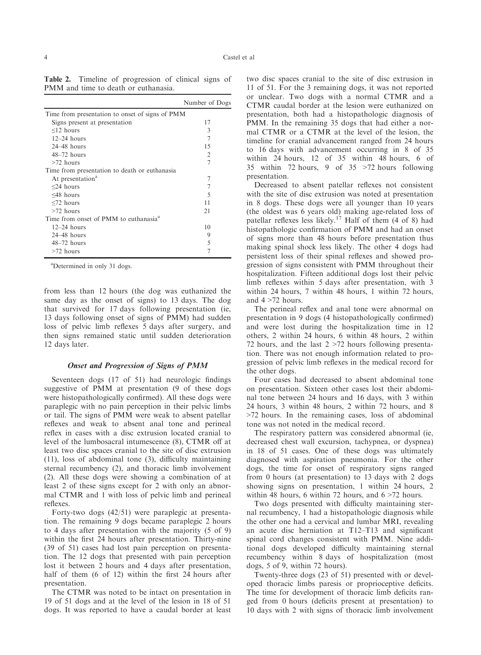Table 2. Timeline of progression of clinical signs of PMM and time to death or euthanasia.

|                                                   | Number of Dogs |
|---------------------------------------------------|----------------|
| Time from presentation to onset of signs of PMM   |                |
| Signs present at presentation                     | 17             |
| $\leq$ 12 hours                                   | $\mathcal{E}$  |
| $12-24$ hours                                     |                |
| $24-48$ hours                                     | 15             |
| $48-72$ hours                                     | $\mathfrak{D}$ |
| $>72$ hours                                       | 7              |
| Time from presentation to death or euthanasia     |                |
| At presentation <sup>a</sup>                      |                |
| $\leq$ 24 hours                                   |                |
| $\leq 48$ hours                                   | 5              |
| $< 72$ hours                                      | 11             |
| $>72$ hours                                       | 21             |
| Time from onset of PMM to euthanasia <sup>a</sup> |                |
| $12-24$ hours                                     | 10             |
| $24-48$ hours                                     | 9              |
| $48-72$ hours                                     | 5              |
| $>72$ hours                                       |                |

a Determined in only 31 dogs.

from less than 12 hours (the dog was euthanized the same day as the onset of signs) to 13 days. The dog that survived for 17 days following presentation (ie, 13 days following onset of signs of PMM) had sudden loss of pelvic limb reflexes 5 days after surgery, and then signs remained static until sudden deterioration 12 days later.

## Onset and Progression of Signs of PMM

Seventeen dogs (17 of 51) had neurologic findings suggestive of PMM at presentation (9 of these dogs were histopathologically confirmed). All these dogs were paraplegic with no pain perception in their pelvic limbs or tail. The signs of PMM were weak to absent patellar reflexes and weak to absent anal tone and perineal reflex in cases with a disc extrusion located cranial to level of the lumbosacral intumescence (8), CTMR off at least two disc spaces cranial to the site of disc extrusion (11), loss of abdominal tone (3), difficulty maintaining sternal recumbency (2), and thoracic limb involvement (2). All these dogs were showing a combination of at least 2 of these signs except for 2 with only an abnormal CTMR and 1 with loss of pelvic limb and perineal reflexes.

Forty-two dogs (42/51) were paraplegic at presentation. The remaining 9 dogs became paraplegic 2 hours to 4 days after presentation with the majority (5 of 9) within the first 24 hours after presentation. Thirty-nine (39 of 51) cases had lost pain perception on presentation. The 12 dogs that presented with pain perception lost it between 2 hours and 4 days after presentation, half of them (6 of 12) within the first 24 hours after presentation.

The CTMR was noted to be intact on presentation in 19 of 51 dogs and at the level of the lesion in 18 of 51 dogs. It was reported to have a caudal border at least

two disc spaces cranial to the site of disc extrusion in 11 of 51. For the 3 remaining dogs, it was not reported or unclear. Two dogs with a normal CTMR and a CTMR caudal border at the lesion were euthanized on presentation, both had a histopathologic diagnosis of PMM. In the remaining 35 dogs that had either a normal CTMR or a CTMR at the level of the lesion, the timeline for cranial advancement ranged from 24 hours to 16 days with advancement occurring in 8 of 35 within 24 hours, 12 of 35 within 48 hours, 6 of 35 within 72 hours, 9 of 35 >72 hours following presentation.

Decreased to absent patellar reflexes not consistent with the site of disc extrusion was noted at presentation in 8 dogs. These dogs were all younger than 10 years (the oldest was 6 years old) making age-related loss of patellar reflexes less likely.<sup>17</sup> Half of them  $(4 \text{ of } 8)$  had histopathologic confirmation of PMM and had an onset of signs more than 48 hours before presentation thus making spinal shock less likely. The other 4 dogs had persistent loss of their spinal reflexes and showed progression of signs consistent with PMM throughout their hospitalization. Fifteen additional dogs lost their pelvic limb reflexes within 5 days after presentation, with 3 within 24 hours, 7 within 48 hours, 1 within 72 hours, and  $4 > 72$  hours.

The perineal reflex and anal tone were abnormal on presentation in 9 dogs (4 histopathologically confirmed) and were lost during the hospitalization time in 12 others, 2 within 24 hours, 6 within 48 hours, 2 within 72 hours, and the last 2 >72 hours following presentation. There was not enough information related to progression of pelvic limb reflexes in the medical record for the other dogs.

Four cases had decreased to absent abdominal tone on presentation. Sixteen other cases lost their abdominal tone between 24 hours and 16 days, with 3 within 24 hours, 3 within 48 hours, 2 within 72 hours, and 8 >72 hours. In the remaining cases, loss of abdominal tone was not noted in the medical record.

The respiratory pattern was considered abnormal (ie, decreased chest wall excursion, tachypnea, or dyspnea) in 18 of 51 cases. One of these dogs was ultimately diagnosed with aspiration pneumonia. For the other dogs, the time for onset of respiratory signs ranged from 0 hours (at presentation) to 13 days with 2 dogs showing signs on presentation, 1 within 24 hours, 2 within 48 hours, 6 within 72 hours, and 6 >72 hours.

Two dogs presented with difficulty maintaining sternal recumbency, 1 had a histopathologic diagnosis while the other one had a cervical and lumbar MRI, revealing an acute disc herniation at T12–T13 and significant spinal cord changes consistent with PMM. Nine additional dogs developed difficulty maintaining sternal recumbency within 8 days of hospitalization (most dogs, 5 of 9, within 72 hours).

Twenty-three dogs (23 of 51) presented with or developed thoracic limbs paresis or proprioceptive deficits. The time for development of thoracic limb deficits ranged from 0 hours (deficits present at presentation) to 10 days with 2 with signs of thoracic limb involvement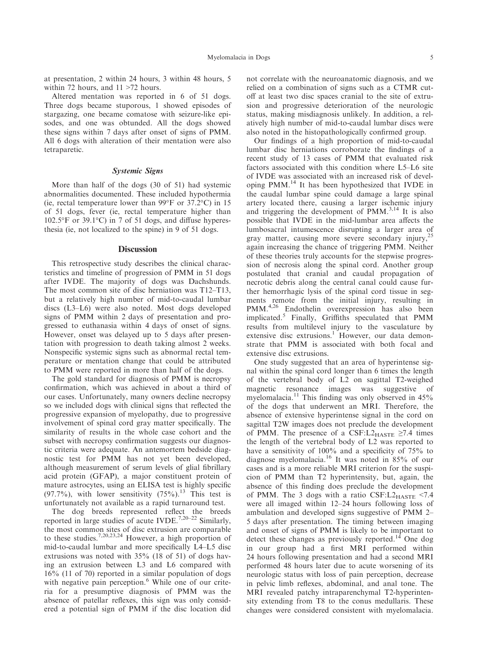at presentation, 2 within 24 hours, 3 within 48 hours, 5 within 72 hours, and 11 >72 hours.

Altered mentation was reported in 6 of 51 dogs. Three dogs became stuporous, 1 showed episodes of stargazing, one became comatose with seizure-like episodes, and one was obtunded. All the dogs showed these signs within 7 days after onset of signs of PMM. All 6 dogs with alteration of their mentation were also tetraparetic.

## Systemic Signs

More than half of the dogs (30 of 51) had systemic abnormalities documented. These included hypothermia (ie, rectal temperature lower than 99°F or 37.2°C) in 15 of 51 dogs, fever (ie, rectal temperature higher than 102.5°F or 39.1°C) in 7 of 51 dogs, and diffuse hyperesthesia (ie, not localized to the spine) in 9 of 51 dogs.

## **Discussion**

This retrospective study describes the clinical characteristics and timeline of progression of PMM in 51 dogs after IVDE. The majority of dogs was Dachshunds. The most common site of disc herniation was T12–T13, but a relatively high number of mid-to-caudal lumbar discs (L3–L6) were also noted. Most dogs developed signs of PMM within 2 days of presentation and progressed to euthanasia within 4 days of onset of signs. However, onset was delayed up to 5 days after presentation with progression to death taking almost 2 weeks. Nonspecific systemic signs such as abnormal rectal temperature or mentation change that could be attributed to PMM were reported in more than half of the dogs.

The gold standard for diagnosis of PMM is necropsy confirmation, which was achieved in about a third of our cases. Unfortunately, many owners decline necropsy so we included dogs with clinical signs that reflected the progressive expansion of myelopathy, due to progressive involvement of spinal cord gray matter specifically. The similarity of results in the whole case cohort and the subset with necropsy confirmation suggests our diagnostic criteria were adequate. An antemortem bedside diagnostic test for PMM has not yet been developed, although measurement of serum levels of glial fibrillary acid protein (GFAP), a major constituent protein of mature astrocytes, using an ELISA test is highly specific (97.7%), with lower sensitivity  $(75\%)$ .<sup>13</sup> This test is unfortunately not available as a rapid turnaround test.

The dog breeds represented reflect the breeds reported in large studies of acute IVDE.<sup>7,20–22</sup> Similarly, the most common sites of disc extrusion are comparable to these studies.7,20,23,24 However, a high proportion of mid-to-caudal lumbar and more specifically L4–L5 disc extrusions was noted with 35% (18 of 51) of dogs having an extrusion between L3 and L6 compared with 16% (11 of 70) reported in a similar population of dogs with negative pain perception.<sup>6</sup> While one of our criteria for a presumptive diagnosis of PMM was the absence of patellar reflexes, this sign was only considered a potential sign of PMM if the disc location did

not correlate with the neuroanatomic diagnosis, and we relied on a combination of signs such as a CTMR cutoff at least two disc spaces cranial to the site of extrusion and progressive deterioration of the neurologic status, making misdiagnosis unlikely. In addition, a relatively high number of mid-to-caudal lumbar discs were also noted in the histopathologically confirmed group.

Our findings of a high proportion of mid-to-caudal lumbar disc herniations corroborate the findings of a recent study of 13 cases of PMM that evaluated risk factors associated with this condition where L5–L6 site of IVDE was associated with an increased risk of developing PMM.14 It has been hypothesized that IVDE in the caudal lumbar spine could damage a large spinal artery located there, causing a larger ischemic injury and triggering the development of  $PMM^{3,14}$  It is also possible that IVDE in the mid-lumbar area affects the lumbosacral intumescence disrupting a larger area of gray matter, causing more severe secondary injury,<sup>25</sup> again increasing the chance of triggering PMM. Neither of these theories truly accounts for the stepwise progression of necrosis along the spinal cord. Another group postulated that cranial and caudal propagation of necrotic debris along the central canal could cause further hemorrhagic lysis of the spinal cord tissue in segments remote from the initial injury, resulting in PMM.<sup>4,26</sup> Endothelin overexpression has also been implicated.<sup>5</sup> Finally, Griffiths speculated that PMM results from multilevel injury to the vasculature by extensive disc extrusions.<sup>1</sup> However, our data demonstrate that PMM is associated with both focal and extensive disc extrusions.

One study suggested that an area of hyperintense signal within the spinal cord longer than 6 times the length of the vertebral body of L2 on sagittal T2-weighed magnetic resonance images was suggestive of myelomalacia.<sup>11</sup> This finding was only observed in  $45%$ of the dogs that underwent an MRI. Therefore, the absence of extensive hyperintense signal in the cord on sagittal T2W images does not preclude the development of PMM. The presence of a CSF:L2 $_{\text{HASTE}} \geq 7.4$  times the length of the vertebral body of L2 was reported to have a sensitivity of 100% and a specificity of 75% to diagnose myelomalacia.<sup>16</sup> It was noted in 85% of our cases and is a more reliable MRI criterion for the suspicion of PMM than T2 hyperintensity, but, again, the absence of this finding does preclude the development of PMM. The 3 dogs with a ratio  $CSF: L2<sub>HASTE</sub> < 7.4$ were all imaged within 12–24 hours following loss of ambulation and developed signs suggestive of PMM 2– 5 days after presentation. The timing between imaging and onset of signs of PMM is likely to be important to detect these changes as previously reported.<sup>14</sup> One dog in our group had a first MRI performed within 24 hours following presentation and had a second MRI performed 48 hours later due to acute worsening of its neurologic status with loss of pain perception, decrease in pelvic limb reflexes, abdominal, and anal tone. The MRI revealed patchy intraparenchymal T2-hyperintensity extending from T8 to the conus medullaris. These changes were considered consistent with myelomalacia.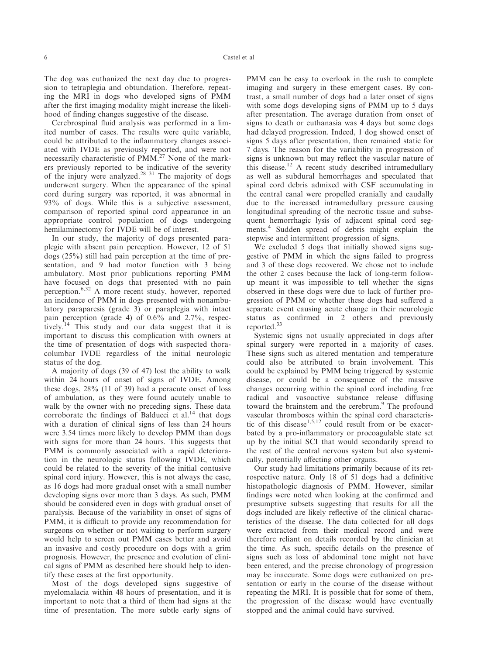The dog was euthanized the next day due to progression to tetraplegia and obtundation. Therefore, repeating the MRI in dogs who developed signs of PMM after the first imaging modality might increase the likelihood of finding changes suggestive of the disease.

Cerebrospinal fluid analysis was performed in a limited number of cases. The results were quite variable, could be attributed to the inflammatory changes associated with IVDE as previously reported, and were not necessarily characteristic of PMM.<sup>27</sup> None of the markers previously reported to be indicative of the severity of the injury were analyzed.<sup>28–31</sup> The majority of dogs underwent surgery. When the appearance of the spinal cord during surgery was reported, it was abnormal in 93% of dogs. While this is a subjective assessment, comparison of reported spinal cord appearance in an appropriate control population of dogs undergoing hemilaminectomy for IVDE will be of interest.

In our study, the majority of dogs presented paraplegic with absent pain perception. However, 12 of 51 dogs (25%) still had pain perception at the time of presentation, and 9 had motor function with 3 being ambulatory. Most prior publications reporting PMM have focused on dogs that presented with no pain perception.6,32 A more recent study, however, reported an incidence of PMM in dogs presented with nonambulatory paraparesis (grade 3) or paraplegia with intact pain perception (grade 4) of 0.6% and 2.7%, respectively.<sup>14</sup> This study and our data suggest that it is important to discuss this complication with owners at the time of presentation of dogs with suspected thoracolumbar IVDE regardless of the initial neurologic status of the dog.

A majority of dogs (39 of 47) lost the ability to walk within 24 hours of onset of signs of IVDE. Among these dogs, 28% (11 of 39) had a peracute onset of loss of ambulation, as they were found acutely unable to walk by the owner with no preceding signs. These data corroborate the findings of Balducci et al.<sup>14</sup> that dogs with a duration of clinical signs of less than 24 hours were 3.54 times more likely to develop PMM than dogs with signs for more than 24 hours. This suggests that PMM is commonly associated with a rapid deterioration in the neurologic status following IVDE, which could be related to the severity of the initial contusive spinal cord injury. However, this is not always the case, as 16 dogs had more gradual onset with a small number developing signs over more than 3 days. As such, PMM should be considered even in dogs with gradual onset of paralysis. Because of the variability in onset of signs of PMM, it is difficult to provide any recommendation for surgeons on whether or not waiting to perform surgery would help to screen out PMM cases better and avoid an invasive and costly procedure on dogs with a grim prognosis. However, the presence and evolution of clinical signs of PMM as described here should help to identify these cases at the first opportunity.

Most of the dogs developed signs suggestive of myelomalacia within 48 hours of presentation, and it is important to note that a third of them had signs at the time of presentation. The more subtle early signs of PMM can be easy to overlook in the rush to complete imaging and surgery in these emergent cases. By contrast, a small number of dogs had a later onset of signs with some dogs developing signs of PMM up to 5 days after presentation. The average duration from onset of signs to death or euthanasia was 4 days but some dogs had delayed progression. Indeed, 1 dog showed onset of signs 5 days after presentation, then remained static for 7 days. The reason for the variability in progression of signs is unknown but may reflect the vascular nature of this disease.<sup>12</sup> A recent study described intramedullary as well as subdural hemorrhages and speculated that spinal cord debris admixed with CSF accumulating in the central canal were propelled cranially and caudally due to the increased intramedullary pressure causing longitudinal spreading of the necrotic tissue and subsequent hemorrhagic lysis of adjacent spinal cord segments.<sup>4</sup> Sudden spread of debris might explain the stepwise and intermittent progression of signs.

We excluded 5 dogs that initially showed signs suggestive of PMM in which the signs failed to progress and 3 of these dogs recovered. We chose not to include the other 2 cases because the lack of long-term followup meant it was impossible to tell whether the signs observed in these dogs were due to lack of further progression of PMM or whether these dogs had suffered a separate event causing acute change in their neurologic status as confirmed in 2 others and previously reported.<sup>33</sup>

Systemic signs not usually appreciated in dogs after spinal surgery were reported in a majority of cases. These signs such as altered mentation and temperature could also be attributed to brain involvement. This could be explained by PMM being triggered by systemic disease, or could be a consequence of the massive changes occurring within the spinal cord including free radical and vasoactive substance release diffusing toward the brainstem and the cerebrum.<sup>9</sup> The profound vascular thromboses within the spinal cord characteristic of this disease<sup>1,5,12</sup> could result from or be exacerbated by a pro-inflammatory or procoagulable state set up by the initial SCI that would secondarily spread to the rest of the central nervous system but also systemically, potentially affecting other organs.

Our study had limitations primarily because of its retrospective nature. Only 18 of 51 dogs had a definitive histopathologic diagnosis of PMM. However, similar findings were noted when looking at the confirmed and presumptive subsets suggesting that results for all the dogs included are likely reflective of the clinical characteristics of the disease. The data collected for all dogs were extracted from their medical record and were therefore reliant on details recorded by the clinician at the time. As such, specific details on the presence of signs such as loss of abdominal tone might not have been entered, and the precise chronology of progression may be inaccurate. Some dogs were euthanized on presentation or early in the course of the disease without repeating the MRI. It is possible that for some of them, the progression of the disease would have eventually stopped and the animal could have survived.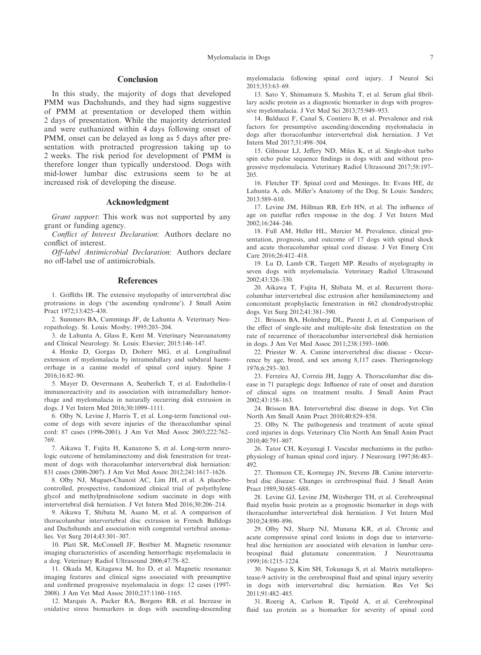## Conclusion

In this study, the majority of dogs that developed PMM was Dachshunds, and they had signs suggestive of PMM at presentation or developed them within 2 days of presentation. While the majority deteriorated and were euthanized within 4 days following onset of PMM, onset can be delayed as long as 5 days after presentation with protracted progression taking up to 2 weeks. The risk period for development of PMM is therefore longer than typically understood. Dogs with mid-lower lumbar disc extrusions seem to be at increased risk of developing the disease.

#### Acknowledgment

Grant support: This work was not supported by any grant or funding agency.

Conflict of Interest Declaration: Authors declare no conflict of interest.

Off-label Antimicrobial Declaration: Authors declare no off-label use of antimicrobials.

#### References

1. Griffiths IR. The extensive myelopathy of intervertebral disc protrusions in dogs ('the ascending syndrome'). J Small Anim Pract 1972;13:425–438.

2. Summers BA, Cummings JF, de Lahunta A. Veterinary Neuropathology. St. Louis: Mosby; 1995:203–204.

3. de Lahunta A, Glass E, Kent M. Veterinary Neuroanatomy and Clinical Neurology. St. Louis: Elsevier; 2015:146–147.

4. Henke D, Gorgas D, Doherr MG, et al. Longitudinal extension of myelomalacia by intramedullary and subdural haemorrhage in a canine model of spinal cord injury. Spine J 2016;16:82–90.

5. Mayer D, Oevermann A, Seuberlich T, et al. Endothelin-1 immunoreactivity and its association with intramedullary hemorrhage and myelomalacia in naturally occurring disk extrusion in dogs. J Vet Intern Med 2016;30:1099–1111.

6. Olby N, Levine J, Harris T, et al. Long-term functional outcome of dogs with severe injuries of the thoracolumbar spinal cord: 87 cases (1996-2001). J Am Vet Med Assoc 2003;222:762– 769.

7. Aikawa T, Fujita H, Kanazono S, et al. Long-term neurologic outcome of hemilaminectomy and disk fenestration for treatment of dogs with thoracolumbar intervertebral disk herniation: 831 cases (2000-2007). J Am Vet Med Assoc 2012;241:1617–1626.

8. Olby NJ, Muguet-Chanoit AC, Lim JH, et al. A placebocontrolled, prospective, randomized clinical trial of polyethylene glycol and methylprednisolone sodium succinate in dogs with intervertebral disk herniation. J Vet Intern Med 2016;30:206–214.

9. Aikawa T, Shibata M, Asano M, et al. A comparison of thoracolumbar intervertebral disc extrusion in French Bulldogs and Dachshunds and association with congenital vertebral anomalies. Vet Surg 2014;43:301–307.

10. Platt SR, McConnell JF, Bestbier M. Magnetic resonance imaging characteristics of ascending hemorrhagic myelomalacia in a dog. Veterinary Radiol Ultrasound 2006;47:78–82.

11. Okada M, Kitagawa M, Ito D, et al. Magnetic resonance imaging features and clinical signs associated with presumptive and confirmed progressive myelomalacia in dogs: 12 cases (1997- 2008). J Am Vet Med Assoc 2010;237:1160–1165.

12. Marquis A, Packer RA, Borgens RB, et al. Increase in oxidative stress biomarkers in dogs with ascending-descending

myelomalacia following spinal cord injury. J Neurol Sci 2015;353:63–69.

13. Sato Y, Shimamura S, Mashita T, et al. Serum glial fibrillary acidic protein as a diagnostic biomarker in dogs with progressive myelomalacia. J Vet Med Sci 2013;75:949–953.

14. Balducci F, Canal S, Contiero B, et al. Prevalence and risk factors for presumptive ascending/descending myelomalacia in dogs after thoracolumbar intervertebral disk herniation. J Vet Intern Med 2017;31:498–504.

15. Gilmour LJ, Jeffery ND, Miles K, et al. Single-shot turbo spin echo pulse sequence findings in dogs with and without progressive myelomalacia. Veterinary Radiol Ultrasound 2017;58:197– 205.

16. Fletcher TF. Spinal cord and Meninges. In: Evans HE, de Lahunta A, eds. Miller's Anatomy of the Dog. St Louis: Sanders; 2013:589–610.

17. Levine JM, Hillman RB, Erb HN, et al. The influence of age on patellar reflex response in the dog. J Vet Intern Med 2002;16:244–246.

18. Full AM, Heller HL, Mercier M. Prevalence, clinical presentation, prognosis, and outcome of 17 dogs with spinal shock and acute thoracolumbar spinal cord disease. J Vet Emerg Crit Care 2016;26:412–418.

19. Lu D, Lamb CR, Targett MP. Results of myelography in seven dogs with myelomalacia. Veterinary Radiol Ultrasound 2002;43:326–330.

20. Aikawa T, Fujita H, Shibata M, et al. Recurrent thoracolumbar intervertebral disc extrusion after hemilaminectomy and concomitant prophylactic fenestration in 662 chondrodystrophic dogs. Vet Surg 2012;41:381–390.

21. Brisson BA, Holmberg DL, Parent J, et al. Comparison of the effect of single-site and multiple-site disk fenestration on the rate of recurrence of thoracolumbar intervertebral disk herniation in dogs. J Am Vet Med Assoc 2011;238:1593–1600.

22. Priester W. A. Canine intervertebral disc disease - Occurrence by age, breed, and sex among 8,117 cases. Theriogenology 1976;6:293–303.

23. Ferreira AJ, Correia JH, Jaggy A. Thoracolumbar disc disease in 71 paraplegic dogs: Influence of rate of onset and duration of clinical signs on treatment results. J Small Anim Pract  $2002.43.158 - 163$ 

24. Brisson BA. Intervertebral disc disease in dogs. Vet Clin North Am Small Anim Pract 2010;40:829–858.

25. Olby N. The pathogenesis and treatment of acute spinal cord injuries in dogs. Veterinary Clin North Am Small Anim Pract 2010;40:791–807.

26. Tator CH, Koyanagi I. Vascular mechanisms in the pathophysiology of human spinal cord injury. J Neurosurg 1997;86:483– 492.

27. Thomson CE, Kornegay JN, Stevens JB. Canine intervertebral disc disease: Changes in cerebrospinal fluid. J Small Anim Pract 1989;30:685–688.

28. Levine GJ, Levine JM, Witsberger TH, et al. Cerebrospinal fluid myelin basic protein as a prognostic biomarker in dogs with thoracolumbar intervertebral disk herniation. J Vet Intern Med 2010;24:890–896.

29. Olby NJ, Sharp NJ, Munana KR, et al. Chronic and acute compressive spinal cord lesions in dogs due to intervertebral disc herniation are associated with elevation in lumbar cerebrospinal fluid glutamate concentration. J Neurotrauma 1999;16:1215–1224.

30. Nagano S, Kim SH, Tokunaga S, et al. Matrix metalloprotease-9 activity in the cerebrospinal fluid and spinal injury severity in dogs with intervertebral disc herniation. Res Vet Sci 2011;91:482–485.

31. Roerig A, Carlson R, Tipold A, et al. Cerebrospinal fluid tau protein as a biomarker for severity of spinal cord